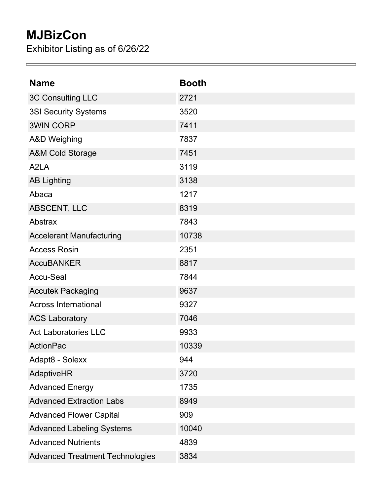## **MJBizCon**

Exhibitor Listing as of 6/26/22

| <b>Name</b>                            | <b>Booth</b> |
|----------------------------------------|--------------|
| 3C Consulting LLC                      | 2721         |
| <b>3SI Security Systems</b>            | 3520         |
| <b>3WIN CORP</b>                       | 7411         |
| <b>A&amp;D Weighing</b>                | 7837         |
| <b>A&amp;M Cold Storage</b>            | 7451         |
| A <sub>2</sub> LA                      | 3119         |
| <b>AB Lighting</b>                     | 3138         |
| Abaca                                  | 1217         |
| ABSCENT, LLC                           | 8319         |
| Abstrax                                | 7843         |
| <b>Accelerant Manufacturing</b>        | 10738        |
| <b>Access Rosin</b>                    | 2351         |
| <b>AccuBANKER</b>                      | 8817         |
| <b>Accu-Seal</b>                       | 7844         |
| <b>Accutek Packaging</b>               | 9637         |
| <b>Across International</b>            | 9327         |
| <b>ACS Laboratory</b>                  | 7046         |
| <b>Act Laboratories LLC</b>            | 9933         |
| <b>ActionPac</b>                       | 10339        |
| Adapt8 - Solexx                        | 944          |
| AdaptiveHR                             | 3720         |
| <b>Advanced Energy</b>                 | 1735         |
| <b>Advanced Extraction Labs</b>        | 8949         |
| <b>Advanced Flower Capital</b>         | 909          |
| <b>Advanced Labeling Systems</b>       | 10040        |
| <b>Advanced Nutrients</b>              | 4839         |
| <b>Advanced Treatment Technologies</b> | 3834         |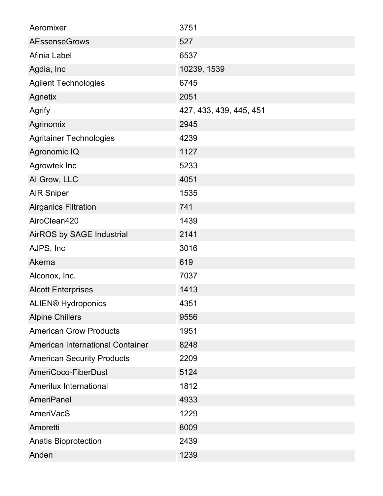| Aeromixer                         | 3751                    |
|-----------------------------------|-------------------------|
| <b>AEssenseGrows</b>              | 527                     |
| Afinia Label                      | 6537                    |
| Agdia, Inc                        | 10239, 1539             |
| <b>Agilent Technologies</b>       | 6745                    |
| Agnetix                           | 2051                    |
| Agrify                            | 427, 433, 439, 445, 451 |
| Agrinomix                         | 2945                    |
| <b>Agritainer Technologies</b>    | 4239                    |
| Agronomic IQ                      | 1127                    |
| Agrowtek Inc                      | 5233                    |
| Al Grow, LLC                      | 4051                    |
| <b>AIR Sniper</b>                 | 1535                    |
| <b>Airganics Filtration</b>       | 741                     |
| AiroClean420                      | 1439                    |
| AirROS by SAGE Industrial         | 2141                    |
| AJPS, Inc.                        | 3016                    |
| Akerna                            | 619                     |
| Alconox, Inc.                     | 7037                    |
| <b>Alcott Enterprises</b>         | 1413                    |
| <b>ALIEN® Hydroponics</b>         | 4351                    |
| <b>Alpine Chillers</b>            | 9556                    |
| <b>American Grow Products</b>     | 1951                    |
| American International Container  | 8248                    |
| <b>American Security Products</b> | 2209                    |
| AmeriCoco-FiberDust               | 5124                    |
| Amerilux International            | 1812                    |
| <b>AmeriPanel</b>                 | 4933                    |
| AmeriVacS                         | 1229                    |
| Amoretti                          | 8009                    |
| <b>Anatis Bioprotection</b>       | 2439                    |
| Anden                             | 1239                    |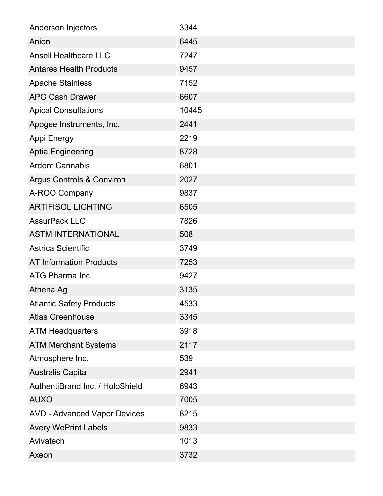| Anderson Injectors                   | 3344  |
|--------------------------------------|-------|
| Anion                                | 6445  |
| <b>Ansell Healthcare LLC</b>         | 7247  |
| <b>Antares Health Products</b>       | 9457  |
| <b>Apache Stainless</b>              | 7152  |
| <b>APG Cash Drawer</b>               | 6607  |
| <b>Apical Consultations</b>          | 10445 |
| Apogee Instruments, Inc.             | 2441  |
| Appi Energy                          | 2219  |
| <b>Aptia Engineering</b>             | 8728  |
| <b>Ardent Cannabis</b>               | 6801  |
| <b>Argus Controls &amp; Conviron</b> | 2027  |
| A-ROO Company                        | 9837  |
| <b>ARTIFISOL LIGHTING</b>            | 6505  |
| <b>AssurPack LLC</b>                 | 7826  |
| <b>ASTM INTERNATIONAL</b>            | 508   |
| <b>Astrica Scientific</b>            | 3749  |
| <b>AT Information Products</b>       | 7253  |
| ATG Pharma Inc.                      | 9427  |
| Athena Ag                            | 3135  |
| <b>Atlantic Safety Products</b>      | 4533  |
| <b>Atlas Greenhouse</b>              | 3345  |
| <b>ATM Headquarters</b>              | 3918  |
| <b>ATM Merchant Systems</b>          | 2117  |
| Atmosphere Inc.                      | 539   |
| <b>Australis Capital</b>             | 2941  |
| AuthentiBrand Inc. / HoloShield      | 6943  |
| <b>AUXO</b>                          | 7005  |
| <b>AVD - Advanced Vapor Devices</b>  | 8215  |
| <b>Avery WePrint Labels</b>          | 9833  |
| Avivatech                            | 1013  |
| Axeon                                | 3732  |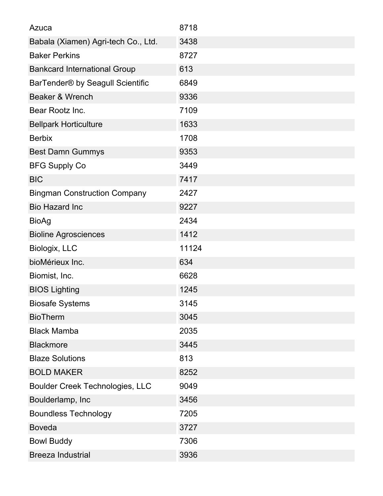| Azuca                                  | 8718  |
|----------------------------------------|-------|
| Babala (Xiamen) Agri-tech Co., Ltd.    | 3438  |
| <b>Baker Perkins</b>                   | 8727  |
| <b>Bankcard International Group</b>    | 613   |
| BarTender® by Seagull Scientific       | 6849  |
| Beaker & Wrench                        | 9336  |
| Bear Rootz Inc.                        | 7109  |
| <b>Bellpark Horticulture</b>           | 1633  |
| <b>Berbix</b>                          | 1708  |
| <b>Best Damn Gummys</b>                | 9353  |
| <b>BFG Supply Co</b>                   | 3449  |
| <b>BIC</b>                             | 7417  |
| <b>Bingman Construction Company</b>    | 2427  |
| <b>Bio Hazard Inc</b>                  | 9227  |
| <b>BioAg</b>                           | 2434  |
| <b>Bioline Agrosciences</b>            | 1412  |
| Biologix, LLC                          | 11124 |
| bioMérieux Inc.                        | 634   |
| Biomist, Inc.                          | 6628  |
| <b>BIOS Lighting</b>                   | 1245  |
| <b>Biosafe Systems</b>                 | 3145  |
| <b>BioTherm</b>                        | 3045  |
| <b>Black Mamba</b>                     | 2035  |
| <b>Blackmore</b>                       | 3445  |
| <b>Blaze Solutions</b>                 | 813   |
| <b>BOLD MAKER</b>                      | 8252  |
| <b>Boulder Creek Technologies, LLC</b> | 9049  |
| Boulderlamp, Inc                       | 3456  |
| <b>Boundless Technology</b>            | 7205  |
| <b>Boveda</b>                          | 3727  |
| <b>Bowl Buddy</b>                      | 7306  |
| <b>Breeza Industrial</b>               | 3936  |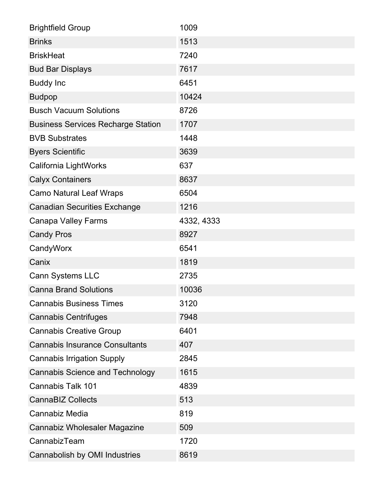| <b>Brightfield Group</b>                  | 1009       |
|-------------------------------------------|------------|
| <b>Brinks</b>                             | 1513       |
| <b>BriskHeat</b>                          | 7240       |
| <b>Bud Bar Displays</b>                   | 7617       |
| <b>Buddy Inc</b>                          | 6451       |
| <b>Budpop</b>                             | 10424      |
| <b>Busch Vacuum Solutions</b>             | 8726       |
| <b>Business Services Recharge Station</b> | 1707       |
| <b>BVB Substrates</b>                     | 1448       |
| <b>Byers Scientific</b>                   | 3639       |
| California LightWorks                     | 637        |
| <b>Calyx Containers</b>                   | 8637       |
| <b>Camo Natural Leaf Wraps</b>            | 6504       |
| <b>Canadian Securities Exchange</b>       | 1216       |
| <b>Canapa Valley Farms</b>                | 4332, 4333 |
| <b>Candy Pros</b>                         | 8927       |
| CandyWorx                                 | 6541       |
| Canix                                     | 1819       |
| <b>Cann Systems LLC</b>                   | 2735       |
| <b>Canna Brand Solutions</b>              | 10036      |
| <b>Cannabis Business Times</b>            | 3120       |
| <b>Cannabis Centrifuges</b>               | 7948       |
| <b>Cannabis Creative Group</b>            | 6401       |
| <b>Cannabis Insurance Consultants</b>     | 407        |
| <b>Cannabis Irrigation Supply</b>         | 2845       |
| <b>Cannabis Science and Technology</b>    |            |
|                                           | 1615       |
| <b>Cannabis Talk 101</b>                  | 4839       |
| <b>CannaBIZ Collects</b>                  | 513        |
| Cannabiz Media                            | 819        |
| Cannabiz Wholesaler Magazine              | 509        |
| CannabizTeam                              | 1720       |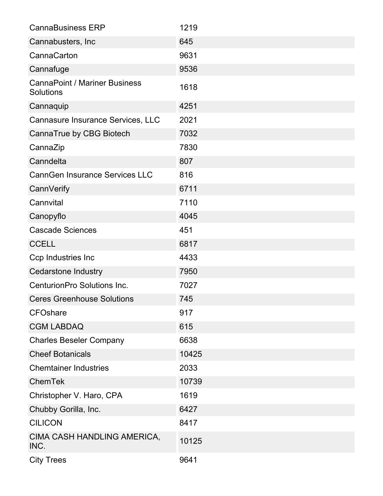| <b>CannaBusiness ERP</b>                          | 1219  |
|---------------------------------------------------|-------|
| Cannabusters, Inc.                                | 645   |
| CannaCarton                                       | 9631  |
| Cannafuge                                         | 9536  |
| <b>CannaPoint / Mariner Business</b><br>Solutions | 1618  |
| Cannaquip                                         | 4251  |
| Cannasure Insurance Services, LLC                 | 2021  |
| CannaTrue by CBG Biotech                          | 7032  |
| CannaZip                                          | 7830  |
| Canndelta                                         | 807   |
| <b>CannGen Insurance Services LLC</b>             | 816   |
| CannVerify                                        | 6711  |
| Cannvital                                         | 7110  |
| Canopyflo                                         | 4045  |
| <b>Cascade Sciences</b>                           | 451   |
| <b>CCELL</b>                                      | 6817  |
| Ccp Industries Inc                                | 4433  |
| <b>Cedarstone Industry</b>                        | 7950  |
| CenturionPro Solutions Inc.                       | 7027  |
| <b>Ceres Greenhouse Solutions</b>                 | 745   |
| <b>CFOshare</b>                                   | 917   |
| <b>CGM LABDAQ</b>                                 | 615   |
| <b>Charles Beseler Company</b>                    | 6638  |
| <b>Cheef Botanicals</b>                           | 10425 |
| <b>Chemtainer Industries</b>                      | 2033  |
| <b>ChemTek</b>                                    | 10739 |
| Christopher V. Haro, CPA                          | 1619  |
| Chubby Gorilla, Inc.                              | 6427  |
| <b>CILICON</b>                                    | 8417  |
| CIMA CASH HANDLING AMERICA,<br>INC.               | 10125 |
| <b>City Trees</b>                                 | 9641  |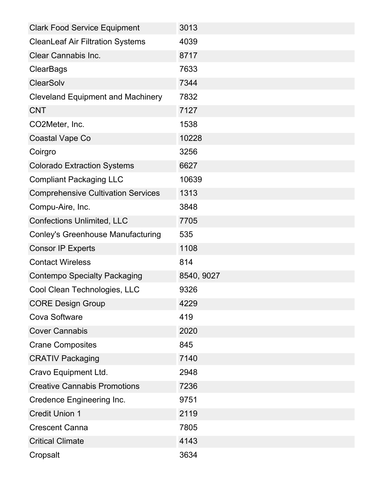| <b>Clark Food Service Equipment</b>       | 3013       |
|-------------------------------------------|------------|
| <b>CleanLeaf Air Filtration Systems</b>   | 4039       |
| Clear Cannabis Inc.                       | 8717       |
| <b>ClearBags</b>                          | 7633       |
| <b>ClearSolv</b>                          | 7344       |
| <b>Cleveland Equipment and Machinery</b>  | 7832       |
| <b>CNT</b>                                | 7127       |
| CO2Meter, Inc.                            | 1538       |
| <b>Coastal Vape Co</b>                    | 10228      |
| Coirgro                                   | 3256       |
| <b>Colorado Extraction Systems</b>        | 6627       |
| <b>Compliant Packaging LLC</b>            | 10639      |
| <b>Comprehensive Cultivation Services</b> | 1313       |
| Compu-Aire, Inc.                          | 3848       |
| <b>Confections Unlimited, LLC</b>         | 7705       |
| <b>Conley's Greenhouse Manufacturing</b>  | 535        |
| <b>Consor IP Experts</b>                  | 1108       |
| <b>Contact Wireless</b>                   | 814        |
| <b>Contempo Specialty Packaging</b>       | 8540, 9027 |
| Cool Clean Technologies, LLC              | 9326       |
| <b>CORE Design Group</b>                  | 4229       |
| <b>Cova Software</b>                      | 419        |
| <b>Cover Cannabis</b>                     | 2020       |
| <b>Crane Composites</b>                   | 845        |
| <b>CRATIV Packaging</b>                   | 7140       |
| Cravo Equipment Ltd.                      | 2948       |
| <b>Creative Cannabis Promotions</b>       | 7236       |
| <b>Credence Engineering Inc.</b>          | 9751       |
| <b>Credit Union 1</b>                     | 2119       |
| <b>Crescent Canna</b>                     | 7805       |
| <b>Critical Climate</b>                   | 4143       |
| Cropsalt                                  | 3634       |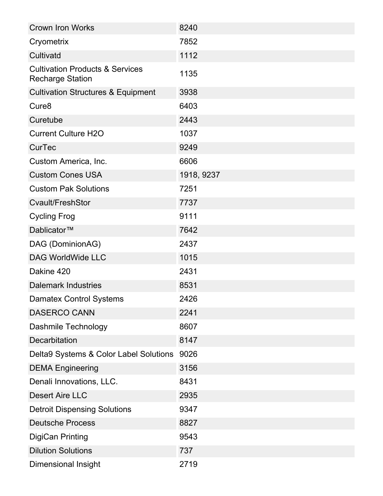| <b>Crown Iron Works</b>                                               | 8240       |
|-----------------------------------------------------------------------|------------|
| Cryometrix                                                            | 7852       |
| Cultivatd                                                             | 1112       |
| <b>Cultivation Products &amp; Services</b><br><b>Recharge Station</b> | 1135       |
| <b>Cultivation Structures &amp; Equipment</b>                         | 3938       |
| Cure <sub>8</sub>                                                     | 6403       |
| Curetube                                                              | 2443       |
| <b>Current Culture H2O</b>                                            | 1037       |
| <b>CurTec</b>                                                         | 9249       |
| Custom America, Inc.                                                  | 6606       |
| <b>Custom Cones USA</b>                                               | 1918, 9237 |
| <b>Custom Pak Solutions</b>                                           | 7251       |
| Cvault/FreshStor                                                      | 7737       |
| <b>Cycling Frog</b>                                                   | 9111       |
| Dablicator™                                                           | 7642       |
| DAG (DominionAG)                                                      | 2437       |
| <b>DAG WorldWide LLC</b>                                              | 1015       |
| Dakine 420                                                            | 2431       |
| <b>Dalemark Industries</b>                                            | 8531       |
| <b>Damatex Control Systems</b>                                        | 2426       |
| DASERCO CANN                                                          | 2241       |
| Dashmile Technology                                                   | 8607       |
| <b>Decarbitation</b>                                                  | 8147       |
| Delta9 Systems & Color Label Solutions                                | 9026       |
| <b>DEMA Engineering</b>                                               | 3156       |
| Denali Innovations, LLC.                                              | 8431       |
| <b>Desert Aire LLC</b>                                                | 2935       |
| <b>Detroit Dispensing Solutions</b>                                   | 9347       |
| <b>Deutsche Process</b>                                               | 8827       |
| <b>DigiCan Printing</b>                                               | 9543       |
| <b>Dilution Solutions</b>                                             | 737        |
| Dimensional Insight                                                   | 2719       |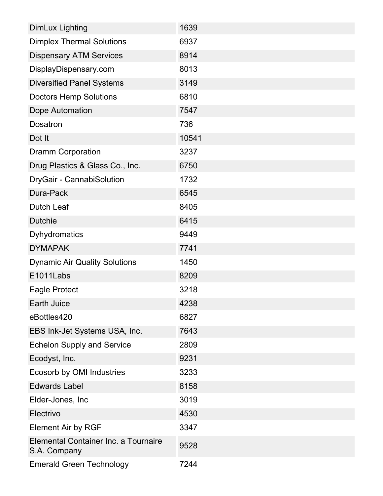| <b>DimLux Lighting</b>                               | 1639  |
|------------------------------------------------------|-------|
| <b>Dimplex Thermal Solutions</b>                     | 6937  |
| <b>Dispensary ATM Services</b>                       | 8914  |
| DisplayDispensary.com                                | 8013  |
| <b>Diversified Panel Systems</b>                     | 3149  |
| <b>Doctors Hemp Solutions</b>                        | 6810  |
| Dope Automation                                      | 7547  |
| Dosatron                                             | 736   |
| Dot It                                               | 10541 |
| <b>Dramm Corporation</b>                             | 3237  |
| Drug Plastics & Glass Co., Inc.                      | 6750  |
| DryGair - CannabiSolution                            | 1732  |
| Dura-Pack                                            | 6545  |
| <b>Dutch Leaf</b>                                    | 8405  |
| <b>Dutchie</b>                                       | 6415  |
| <b>Dyhydromatics</b>                                 | 9449  |
| <b>DYMAPAK</b>                                       | 7741  |
| <b>Dynamic Air Quality Solutions</b>                 | 1450  |
| E1011Labs                                            | 8209  |
| <b>Eagle Protect</b>                                 | 3218  |
| <b>Earth Juice</b>                                   | 4238  |
| eBottles420                                          | 6827  |
| EBS Ink-Jet Systems USA, Inc.                        | 7643  |
| <b>Echelon Supply and Service</b>                    | 2809  |
| Ecodyst, Inc.                                        | 9231  |
| Ecosorb by OMI Industries                            | 3233  |
| <b>Edwards Label</b>                                 | 8158  |
| Elder-Jones, Inc.                                    | 3019  |
| Electrivo                                            | 4530  |
| <b>Element Air by RGF</b>                            | 3347  |
| Elemental Container Inc. a Tournaire<br>S.A. Company | 9528  |
| <b>Emerald Green Technology</b>                      | 7244  |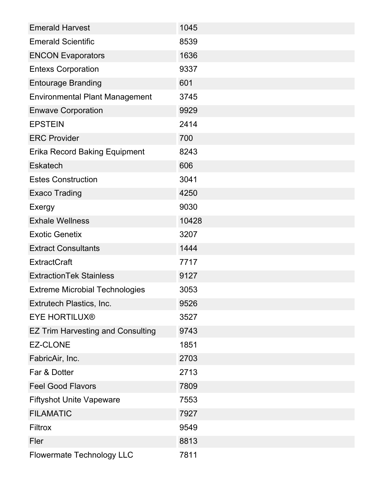| <b>Emerald Harvest</b>                   | 1045  |
|------------------------------------------|-------|
| <b>Emerald Scientific</b>                | 8539  |
| <b>ENCON Evaporators</b>                 | 1636  |
| <b>Entexs Corporation</b>                | 9337  |
| <b>Entourage Branding</b>                | 601   |
| <b>Environmental Plant Management</b>    | 3745  |
| <b>Enwave Corporation</b>                | 9929  |
| <b>EPSTEIN</b>                           | 2414  |
| <b>ERC Provider</b>                      | 700   |
| <b>Erika Record Baking Equipment</b>     | 8243  |
| <b>Eskatech</b>                          | 606   |
| <b>Estes Construction</b>                | 3041  |
| <b>Exaco Trading</b>                     | 4250  |
| Exergy                                   | 9030  |
| <b>Exhale Wellness</b>                   | 10428 |
| <b>Exotic Genetix</b>                    | 3207  |
| <b>Extract Consultants</b>               | 1444  |
| <b>ExtractCraft</b>                      | 7717  |
| <b>ExtractionTek Stainless</b>           | 9127  |
| <b>Extreme Microbial Technologies</b>    | 3053  |
| Extrutech Plastics, Inc.                 | 9526  |
| <b>EYE HORTILUX®</b>                     | 3527  |
| <b>EZ Trim Harvesting and Consulting</b> | 9743  |
| <b>EZ-CLONE</b>                          | 1851  |
| FabricAir, Inc.                          | 2703  |
| Far & Dotter                             | 2713  |
| <b>Feel Good Flavors</b>                 | 7809  |
| <b>Fiftyshot Unite Vapeware</b>          | 7553  |
| <b>FILAMATIC</b>                         | 7927  |
| <b>Filtrox</b>                           | 9549  |
| Fler                                     | 8813  |
| <b>Flowermate Technology LLC</b>         | 7811  |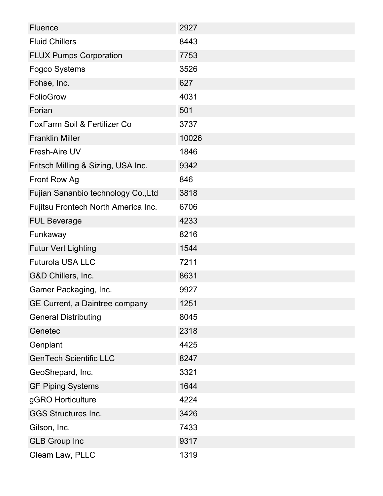| <b>Fluence</b>                          | 2927  |
|-----------------------------------------|-------|
| <b>Fluid Chillers</b>                   | 8443  |
| <b>FLUX Pumps Corporation</b>           | 7753  |
| Fogco Systems                           | 3526  |
| Fohse, Inc.                             | 627   |
| FolioGrow                               | 4031  |
| Forian                                  | 501   |
| <b>FoxFarm Soil &amp; Fertilizer Co</b> | 3737  |
| <b>Franklin Miller</b>                  | 10026 |
| Fresh-Aire UV                           | 1846  |
| Fritsch Milling & Sizing, USA Inc.      | 9342  |
| Front Row Ag                            | 846   |
| Fujian Sananbio technology Co., Ltd     | 3818  |
| Fujitsu Frontech North America Inc.     | 6706  |
| <b>FUL Beverage</b>                     | 4233  |
| Funkaway                                | 8216  |
| <b>Futur Vert Lighting</b>              | 1544  |
| <b>Futurola USA LLC</b>                 | 7211  |
| G&D Chillers, Inc.                      | 8631  |
| Gamer Packaging, Inc.                   | 9927  |
| GE Current, a Daintree company          | 1251  |
| <b>General Distributing</b>             | 8045  |
| Genetec                                 | 2318  |
| Genplant                                | 4425  |
| <b>GenTech Scientific LLC</b>           | 8247  |
| GeoShepard, Inc.                        | 3321  |
| <b>GF Piping Systems</b>                | 1644  |
| gGRO Horticulture                       | 4224  |
| <b>GGS Structures Inc.</b>              | 3426  |
| Gilson, Inc.                            | 7433  |
| <b>GLB Group Inc</b>                    | 9317  |
| Gleam Law, PLLC                         | 1319  |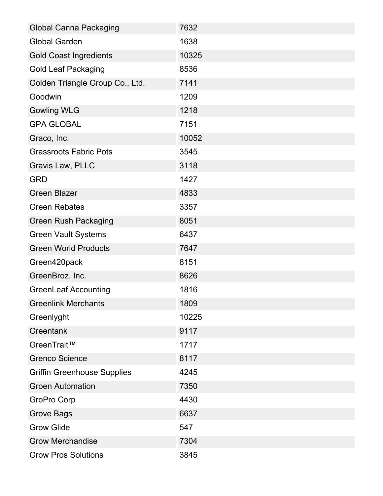| <b>Global Canna Packaging</b>      | 7632  |
|------------------------------------|-------|
| <b>Global Garden</b>               | 1638  |
| <b>Gold Coast Ingredients</b>      | 10325 |
| <b>Gold Leaf Packaging</b>         | 8536  |
| Golden Triangle Group Co., Ltd.    | 7141  |
| Goodwin                            | 1209  |
| <b>Gowling WLG</b>                 | 1218  |
| <b>GPA GLOBAL</b>                  | 7151  |
| Graco, Inc.                        | 10052 |
| <b>Grassroots Fabric Pots</b>      | 3545  |
| Gravis Law, PLLC                   | 3118  |
| <b>GRD</b>                         | 1427  |
| <b>Green Blazer</b>                | 4833  |
| <b>Green Rebates</b>               | 3357  |
| <b>Green Rush Packaging</b>        | 8051  |
| <b>Green Vault Systems</b>         | 6437  |
| <b>Green World Products</b>        | 7647  |
| Green420pack                       | 8151  |
| GreenBroz. Inc.                    | 8626  |
| <b>GreenLeaf Accounting</b>        | 1816  |
| <b>Greenlink Merchants</b>         | 1809  |
| Greenlyght                         | 10225 |
| Greentank                          | 9117  |
| GreenTrait™                        | 1717  |
| <b>Grenco Science</b>              | 8117  |
| <b>Griffin Greenhouse Supplies</b> | 4245  |
| <b>Groen Automation</b>            | 7350  |
| GroPro Corp                        | 4430  |
| <b>Grove Bags</b>                  | 6637  |
| <b>Grow Glide</b>                  | 547   |
| <b>Grow Merchandise</b>            | 7304  |
| <b>Grow Pros Solutions</b>         | 3845  |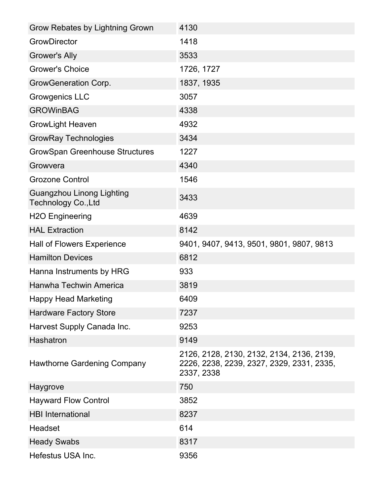| Grow Rebates by Lightning Grown                                | 4130                                                                                                 |
|----------------------------------------------------------------|------------------------------------------------------------------------------------------------------|
| <b>GrowDirector</b>                                            | 1418                                                                                                 |
| Grower's Ally                                                  | 3533                                                                                                 |
| <b>Grower's Choice</b>                                         | 1726, 1727                                                                                           |
| GrowGeneration Corp.                                           | 1837, 1935                                                                                           |
| <b>Growgenics LLC</b>                                          | 3057                                                                                                 |
| <b>GROWinBAG</b>                                               | 4338                                                                                                 |
| <b>GrowLight Heaven</b>                                        | 4932                                                                                                 |
| <b>GrowRay Technologies</b>                                    | 3434                                                                                                 |
| <b>GrowSpan Greenhouse Structures</b>                          | 1227                                                                                                 |
| Growvera                                                       | 4340                                                                                                 |
| <b>Grozone Control</b>                                         | 1546                                                                                                 |
| <b>Guangzhou Linong Lighting</b><br><b>Technology Co., Ltd</b> | 3433                                                                                                 |
| <b>H2O Engineering</b>                                         | 4639                                                                                                 |
| <b>HAL Extraction</b>                                          | 8142                                                                                                 |
| <b>Hall of Flowers Experience</b>                              | 9401, 9407, 9413, 9501, 9801, 9807, 9813                                                             |
| <b>Hamilton Devices</b>                                        | 6812                                                                                                 |
| Hanna Instruments by HRG                                       | 933                                                                                                  |
| <b>Hanwha Techwin America</b>                                  | 3819                                                                                                 |
| <b>Happy Head Marketing</b>                                    | 6409                                                                                                 |
| <b>Hardware Factory Store</b>                                  | 7237                                                                                                 |
| Harvest Supply Canada Inc.                                     | 9253                                                                                                 |
| Hashatron                                                      | 9149                                                                                                 |
| <b>Hawthorne Gardening Company</b>                             | 2126, 2128, 2130, 2132, 2134, 2136, 2139,<br>2226, 2238, 2239, 2327, 2329, 2331, 2335,<br>2337, 2338 |
| Haygrove                                                       | 750                                                                                                  |
| <b>Hayward Flow Control</b>                                    | 3852                                                                                                 |
| <b>HBI</b> International                                       | 8237                                                                                                 |
| Headset                                                        | 614                                                                                                  |
| <b>Heady Swabs</b>                                             | 8317                                                                                                 |
| Hefestus USA Inc.                                              | 9356                                                                                                 |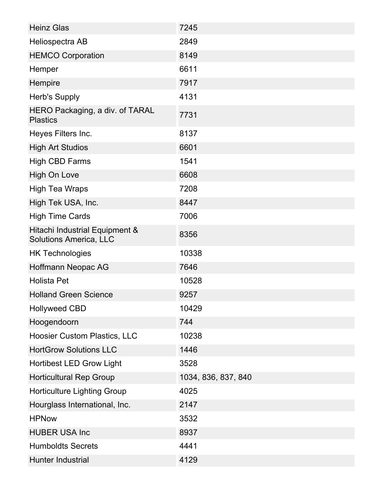| <b>Heinz Glas</b>                                               | 7245                |
|-----------------------------------------------------------------|---------------------|
| Heliospectra AB                                                 | 2849                |
| <b>HEMCO Corporation</b>                                        | 8149                |
| Hemper                                                          | 6611                |
| Hempire                                                         | 7917                |
| <b>Herb's Supply</b>                                            | 4131                |
| HERO Packaging, a div. of TARAL<br><b>Plastics</b>              | 7731                |
| Heyes Filters Inc.                                              | 8137                |
| <b>High Art Studios</b>                                         | 6601                |
| <b>High CBD Farms</b>                                           | 1541                |
| High On Love                                                    | 6608                |
| <b>High Tea Wraps</b>                                           | 7208                |
| High Tek USA, Inc.                                              | 8447                |
| <b>High Time Cards</b>                                          | 7006                |
| Hitachi Industrial Equipment &<br><b>Solutions America, LLC</b> | 8356                |
| <b>HK Technologies</b>                                          | 10338               |
| Hoffmann Neopac AG                                              | 7646                |
| <b>Holista Pet</b>                                              | 10528               |
| <b>Holland Green Science</b>                                    | 9257                |
| <b>Hollyweed CBD</b>                                            | 10429               |
| Hoogendoorn                                                     | 744                 |
| <b>Hoosier Custom Plastics, LLC</b>                             | 10238               |
| <b>HortGrow Solutions LLC</b>                                   | 1446                |
| <b>Hortibest LED Grow Light</b>                                 | 3528                |
| <b>Horticultural Rep Group</b>                                  | 1034, 836, 837, 840 |
| <b>Horticulture Lighting Group</b>                              | 4025                |
| Hourglass International, Inc.                                   | 2147                |
| <b>HPNow</b>                                                    | 3532                |
| <b>HUBER USA Inc</b>                                            | 8937                |
| <b>Humboldts Secrets</b>                                        | 4441                |
| <b>Hunter Industrial</b>                                        | 4129                |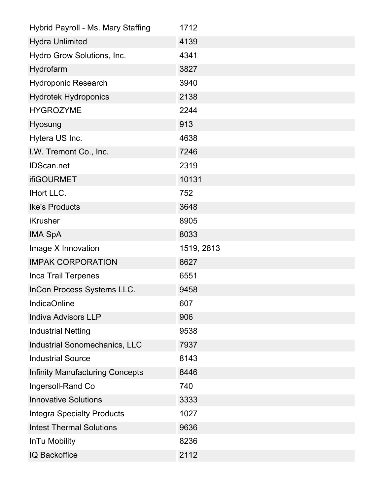| Hybrid Payroll - Ms. Mary Staffing     | 1712       |
|----------------------------------------|------------|
| <b>Hydra Unlimited</b>                 | 4139       |
| Hydro Grow Solutions, Inc.             | 4341       |
| Hydrofarm                              | 3827       |
| <b>Hydroponic Research</b>             | 3940       |
| <b>Hydrotek Hydroponics</b>            | 2138       |
| <b>HYGROZYME</b>                       | 2244       |
| <b>Hyosung</b>                         | 913        |
| Hytera US Inc.                         | 4638       |
| I.W. Tremont Co., Inc.                 | 7246       |
| <b>IDScan.net</b>                      | 2319       |
| <b>ifiGOURMET</b>                      | 10131      |
| <b>IHort LLC.</b>                      | 752        |
| <b>Ike's Products</b>                  | 3648       |
| <b>iKrusher</b>                        | 8905       |
| <b>IMA SpA</b>                         | 8033       |
| Image X Innovation                     | 1519, 2813 |
| <b>IMPAK CORPORATION</b>               | 8627       |
| Inca Trail Terpenes                    | 6551       |
| InCon Process Systems LLC.             | 9458       |
| <b>IndicaOnline</b>                    | 607        |
| <b>Indiva Advisors LLP</b>             | 906        |
| <b>Industrial Netting</b>              | 9538       |
| Industrial Sonomechanics, LLC          | 7937       |
| <b>Industrial Source</b>               | 8143       |
| <b>Infinity Manufacturing Concepts</b> | 8446       |
| Ingersoll-Rand Co                      | 740        |
| <b>Innovative Solutions</b>            | 3333       |
| <b>Integra Specialty Products</b>      | 1027       |
| <b>Intest Thermal Solutions</b>        | 9636       |
| In Tu Mobility                         | 8236       |
| IQ Backoffice                          | 2112       |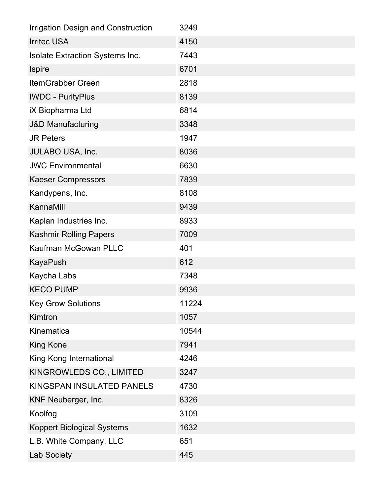| <b>Irrigation Design and Construction</b> | 3249  |
|-------------------------------------------|-------|
| <b>Irritec USA</b>                        | 4150  |
| Isolate Extraction Systems Inc.           | 7443  |
| <b>Ispire</b>                             | 6701  |
| <b>ItemGrabber Green</b>                  | 2818  |
| <b>IWDC - PurityPlus</b>                  | 8139  |
| <b>iX Biopharma Ltd</b>                   | 6814  |
| <b>J&amp;D Manufacturing</b>              | 3348  |
| <b>JR Peters</b>                          | 1947  |
| JULABO USA, Inc.                          | 8036  |
| <b>JWC Environmental</b>                  | 6630  |
| <b>Kaeser Compressors</b>                 | 7839  |
| Kandypens, Inc.                           | 8108  |
| KannaMill                                 | 9439  |
| Kaplan Industries Inc.                    | 8933  |
| <b>Kashmir Rolling Papers</b>             | 7009  |
| Kaufman McGowan PLLC                      | 401   |
| <b>KayaPush</b>                           | 612   |
| Kaycha Labs                               | 7348  |
| <b>KECO PUMP</b>                          | 9936  |
| <b>Key Grow Solutions</b>                 | 11224 |
| Kimtron                                   | 1057  |
| Kinematica                                | 10544 |
| <b>King Kone</b>                          | 7941  |
| King Kong International                   | 4246  |
| KINGROWLEDS CO., LIMITED                  | 3247  |
| <b>KINGSPAN INSULATED PANELS</b>          | 4730  |
| KNF Neuberger, Inc.                       | 8326  |
| Koolfog                                   | 3109  |
| <b>Koppert Biological Systems</b>         | 1632  |
| L.B. White Company, LLC                   | 651   |
| Lab Society                               | 445   |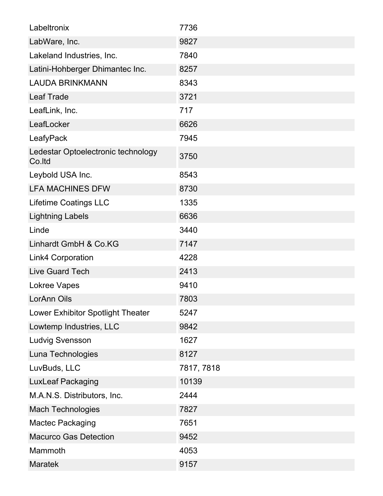| Labeltronix                                  | 7736       |
|----------------------------------------------|------------|
| LabWare, Inc.                                | 9827       |
| Lakeland Industries, Inc.                    | 7840       |
| Latini-Hohberger Dhimantec Inc.              | 8257       |
| <b>LAUDA BRINKMANN</b>                       | 8343       |
| <b>Leaf Trade</b>                            | 3721       |
| LeafLink, Inc.                               | 717        |
| LeafLocker                                   | 6626       |
| LeafyPack                                    | 7945       |
| Ledestar Optoelectronic technology<br>Co.ltd | 3750       |
| Leybold USA Inc.                             | 8543       |
| <b>LFA MACHINES DFW</b>                      | 8730       |
| <b>Lifetime Coatings LLC</b>                 | 1335       |
| <b>Lightning Labels</b>                      | 6636       |
| Linde                                        | 3440       |
| Linhardt GmbH & Co.KG                        | 7147       |
| <b>Link4 Corporation</b>                     | 4228       |
| Live Guard Tech                              | 2413       |
| Lokree Vapes                                 | 9410       |
| LorAnn Oils                                  | 7803       |
| Lower Exhibitor Spotlight Theater            | 5247       |
| Lowtemp Industries, LLC                      | 9842       |
| <b>Ludvig Svensson</b>                       | 1627       |
| Luna Technologies                            | 8127       |
| LuvBuds, LLC                                 | 7817, 7818 |
| <b>LuxLeaf Packaging</b>                     | 10139      |
| M.A.N.S. Distributors, Inc.                  | 2444       |
| <b>Mach Technologies</b>                     | 7827       |
| <b>Mactec Packaging</b>                      | 7651       |
| <b>Macurco Gas Detection</b>                 | 9452       |
| Mammoth                                      | 4053       |
| <b>Maratek</b>                               | 9157       |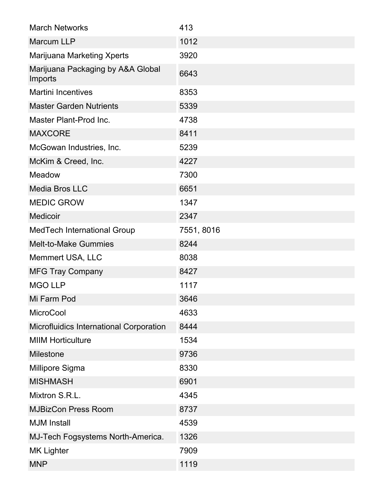| <b>March Networks</b>                        | 413        |
|----------------------------------------------|------------|
| <b>Marcum LLP</b>                            | 1012       |
| Marijuana Marketing Xperts                   | 3920       |
| Marijuana Packaging by A&A Global<br>Imports | 6643       |
| <b>Martini Incentives</b>                    | 8353       |
| <b>Master Garden Nutrients</b>               | 5339       |
| Master Plant-Prod Inc.                       | 4738       |
| <b>MAXCORE</b>                               | 8411       |
| McGowan Industries, Inc.                     | 5239       |
| McKim & Creed, Inc.                          | 4227       |
| Meadow                                       | 7300       |
| <b>Media Bros LLC</b>                        | 6651       |
| <b>MEDIC GROW</b>                            | 1347       |
| <b>Medicoir</b>                              | 2347       |
| MedTech International Group                  | 7551, 8016 |
| <b>Melt-to-Make Gummies</b>                  | 8244       |
| Memmert USA, LLC                             | 8038       |
| <b>MFG Tray Company</b>                      | 8427       |
| <b>MGO LLP</b>                               | 1117       |
| Mi Farm Pod                                  | 3646       |
| <b>MicroCool</b>                             | 4633       |
| Microfluidics International Corporation      | 8444       |
| <b>MIIM Horticulture</b>                     | 1534       |
| <b>Milestone</b>                             | 9736       |
| Millipore Sigma                              | 8330       |
| <b>MISHMASH</b>                              | 6901       |
| Mixtron S.R.L.                               | 4345       |
| <b>MJBizCon Press Room</b>                   | 8737       |
| <b>MJM</b> Install                           | 4539       |
| MJ-Tech Fogsystems North-America.            | 1326       |
| <b>MK Lighter</b>                            | 7909       |
| <b>MNP</b>                                   | 1119       |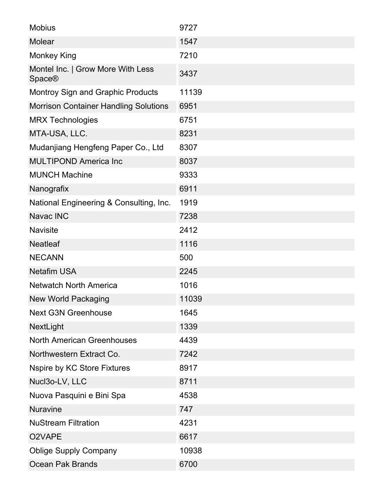| <b>Mobius</b>                                      | 9727  |
|----------------------------------------------------|-------|
| <b>Molear</b>                                      | 1547  |
| <b>Monkey King</b>                                 | 7210  |
| Montel Inc.   Grow More With Less<br><b>Space®</b> | 3437  |
| <b>Montroy Sign and Graphic Products</b>           | 11139 |
| <b>Morrison Container Handling Solutions</b>       | 6951  |
| <b>MRX Technologies</b>                            | 6751  |
| MTA-USA, LLC.                                      | 8231  |
| Mudanjiang Hengfeng Paper Co., Ltd                 | 8307  |
| <b>MULTIPOND America Inc</b>                       | 8037  |
| <b>MUNCH Machine</b>                               | 9333  |
| Nanografix                                         | 6911  |
| National Engineering & Consulting, Inc.            | 1919  |
| Navac INC                                          | 7238  |
| <b>Navisite</b>                                    | 2412  |
| <b>Neatleaf</b>                                    | 1116  |
| <b>NECANN</b>                                      | 500   |
| <b>Netafim USA</b>                                 | 2245  |
| <b>Netwatch North America</b>                      | 1016  |
| New World Packaging                                | 11039 |
| <b>Next G3N Greenhouse</b>                         | 1645  |
| NextLight                                          | 1339  |
| <b>North American Greenhouses</b>                  | 4439  |
| Northwestern Extract Co.                           | 7242  |
| <b>Nspire by KC Store Fixtures</b>                 | 8917  |
| Nucl3o-LV, LLC                                     | 8711  |
| Nuova Pasquini e Bini Spa                          | 4538  |
| <b>Nuravine</b>                                    | 747   |
| <b>NuStream Filtration</b>                         | 4231  |
| O2VAPE                                             | 6617  |
| <b>Oblige Supply Company</b>                       | 10938 |
| <b>Ocean Pak Brands</b>                            | 6700  |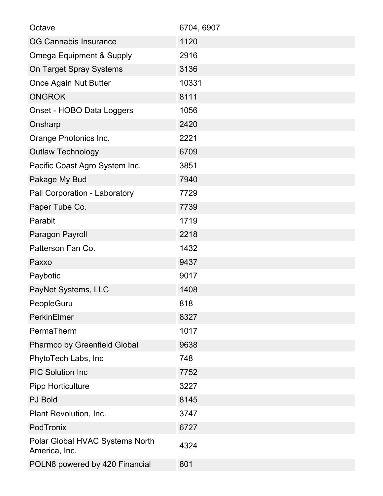| Octave                                           | 6704, 6907 |
|--------------------------------------------------|------------|
| <b>OG Cannabis Insurance</b>                     | 1120       |
| <b>Omega Equipment &amp; Supply</b>              | 2916       |
| On Target Spray Systems                          | 3136       |
| <b>Once Again Nut Butter</b>                     | 10331      |
| <b>ONGROK</b>                                    | 8111       |
| Onset - HOBO Data Loggers                        | 1056       |
| Onsharp                                          | 2420       |
| Orange Photonics Inc.                            | 2221       |
| <b>Outlaw Technology</b>                         | 6709       |
| Pacific Coast Agro System Inc.                   | 3851       |
| Pakage My Bud                                    | 7940       |
| Pall Corporation - Laboratory                    | 7729       |
| Paper Tube Co.                                   | 7739       |
| Parabit                                          | 1719       |
| Paragon Payroll                                  | 2218       |
| Patterson Fan Co.                                | 1432       |
| Paxxo                                            | 9437       |
| Paybotic                                         | 9017       |
| PayNet Systems, LLC                              | 1408       |
| PeopleGuru                                       | 818        |
| <b>PerkinElmer</b>                               | 8327       |
| PermaTherm                                       | 1017       |
| <b>Pharmco by Greenfield Global</b>              | 9638       |
| PhytoTech Labs, Inc                              | 748        |
| <b>PIC Solution Inc</b>                          | 7752       |
| <b>Pipp Horticulture</b>                         | 3227       |
| <b>PJ Bold</b>                                   | 8145       |
| Plant Revolution, Inc.                           | 3747       |
| PodTronix                                        | 6727       |
| Polar Global HVAC Systems North<br>America, Inc. | 4324       |
| POLN8 powered by 420 Financial                   | 801        |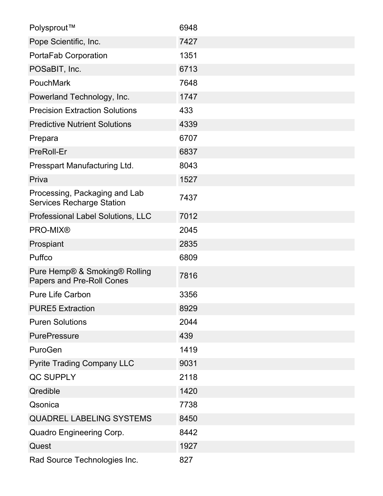| Polysprout™                                                       | 6948 |
|-------------------------------------------------------------------|------|
| Pope Scientific, Inc.                                             | 7427 |
| PortaFab Corporation                                              | 1351 |
| POSaBIT, Inc.                                                     | 6713 |
| PouchMark                                                         | 7648 |
| Powerland Technology, Inc.                                        | 1747 |
| <b>Precision Extraction Solutions</b>                             | 433  |
| <b>Predictive Nutrient Solutions</b>                              | 4339 |
| Prepara                                                           | 6707 |
| PreRoll-Er                                                        | 6837 |
| Presspart Manufacturing Ltd.                                      | 8043 |
| Priva                                                             | 1527 |
| Processing, Packaging and Lab<br><b>Services Recharge Station</b> | 7437 |
| Professional Label Solutions, LLC                                 | 7012 |
| <b>PRO-MIX®</b>                                                   | 2045 |
| Prospiant                                                         | 2835 |
| Puffco                                                            | 6809 |
| Pure Hemp® & Smoking® Rolling<br>Papers and Pre-Roll Cones        | 7816 |
| <b>Pure Life Carbon</b>                                           | 3356 |
| <b>PURE5 Extraction</b>                                           | 8929 |
| <b>Puren Solutions</b>                                            | 2044 |
| <b>PurePressure</b>                                               | 439  |
| PuroGen                                                           | 1419 |
| <b>Pyrite Trading Company LLC</b>                                 | 9031 |
| QC SUPPLY                                                         | 2118 |
| Qredible                                                          | 1420 |
| Qsonica                                                           | 7738 |
| QUADREL LABELING SYSTEMS                                          | 8450 |
| Quadro Engineering Corp.                                          | 8442 |
| Quest                                                             | 1927 |
| Rad Source Technologies Inc.                                      | 827  |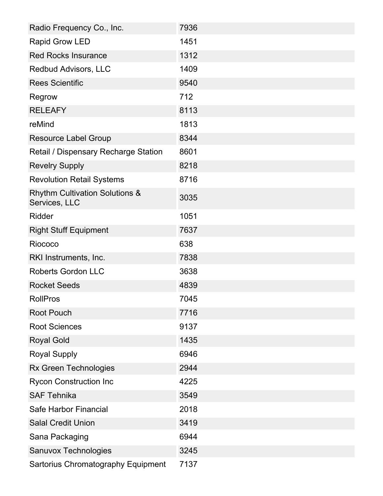| Radio Frequency Co., Inc.                                  | 7936 |
|------------------------------------------------------------|------|
| <b>Rapid Grow LED</b>                                      | 1451 |
| <b>Red Rocks Insurance</b>                                 | 1312 |
| <b>Redbud Advisors, LLC</b>                                | 1409 |
| <b>Rees Scientific</b>                                     | 9540 |
| Regrow                                                     | 712  |
| <b>RELEAFY</b>                                             | 8113 |
| reMind                                                     | 1813 |
| <b>Resource Label Group</b>                                | 8344 |
| Retail / Dispensary Recharge Station                       | 8601 |
| <b>Revelry Supply</b>                                      | 8218 |
| <b>Revolution Retail Systems</b>                           | 8716 |
| <b>Rhythm Cultivation Solutions &amp;</b><br>Services, LLC | 3035 |
| <b>Ridder</b>                                              | 1051 |
| <b>Right Stuff Equipment</b>                               | 7637 |
| Riococo                                                    | 638  |
| RKI Instruments, Inc.                                      | 7838 |
| <b>Roberts Gordon LLC</b>                                  | 3638 |
| <b>Rocket Seeds</b>                                        | 4839 |
| <b>RollPros</b>                                            | 7045 |
| <b>Root Pouch</b>                                          | 7716 |
| <b>Root Sciences</b>                                       | 9137 |
| <b>Royal Gold</b>                                          | 1435 |
| <b>Royal Supply</b>                                        | 6946 |
| Rx Green Technologies                                      | 2944 |
| <b>Rycon Construction Inc</b>                              | 4225 |
| <b>SAF Tehnika</b>                                         | 3549 |
| Safe Harbor Financial                                      | 2018 |
| <b>Salal Credit Union</b>                                  | 3419 |
| Sana Packaging                                             | 6944 |
| Sanuvox Technologies                                       | 3245 |
| Sartorius Chromatography Equipment                         | 7137 |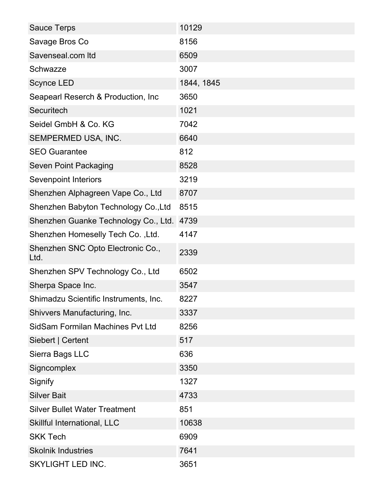| <b>Sauce Terps</b>                        | 10129      |
|-------------------------------------------|------------|
| Savage Bros Co                            | 8156       |
| Savenseal.com Itd                         | 6509       |
| Schwazze                                  | 3007       |
| <b>Scynce LED</b>                         | 1844, 1845 |
| Seapearl Reserch & Production, Inc        | 3650       |
| Securitech                                | 1021       |
| Seidel GmbH & Co. KG                      | 7042       |
| SEMPERMED USA, INC.                       | 6640       |
| <b>SEO Guarantee</b>                      | 812        |
| <b>Seven Point Packaging</b>              | 8528       |
| <b>Sevenpoint Interiors</b>               | 3219       |
| Shenzhen Alphagreen Vape Co., Ltd         | 8707       |
| Shenzhen Babyton Technology Co., Ltd      | 8515       |
| Shenzhen Guanke Technology Co., Ltd.      | 4739       |
| Shenzhen Homeselly Tech Co., Ltd.         | 4147       |
| Shenzhen SNC Opto Electronic Co.,<br>Ltd. | 2339       |
| Shenzhen SPV Technology Co., Ltd          | 6502       |
| Sherpa Space Inc.                         | 3547       |
| Shimadzu Scientific Instruments, Inc.     | 8227       |
| Shivvers Manufacturing, Inc.              | 3337       |
| SidSam Formilan Machines Pvt Ltd          | 8256       |
| Siebert   Certent                         | 517        |
| Sierra Bags LLC                           | 636        |
| Signcomplex                               | 3350       |
| Signify                                   | 1327       |
| <b>Silver Bait</b>                        | 4733       |
| <b>Silver Bullet Water Treatment</b>      | 851        |
| Skillful International, LLC               | 10638      |
| <b>SKK Tech</b>                           | 6909       |
| <b>Skolnik Industries</b>                 | 7641       |
| SKYLIGHT LED INC.                         | 3651       |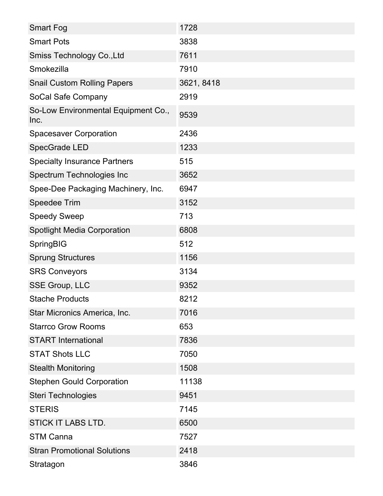| <b>Smart Fog</b>                            | 1728       |
|---------------------------------------------|------------|
| <b>Smart Pots</b>                           | 3838       |
| Smiss Technology Co., Ltd                   | 7611       |
| Smokezilla                                  | 7910       |
| <b>Snail Custom Rolling Papers</b>          | 3621, 8418 |
| SoCal Safe Company                          | 2919       |
| So-Low Environmental Equipment Co.,<br>Inc. | 9539       |
| <b>Spacesaver Corporation</b>               | 2436       |
| SpecGrade LED                               | 1233       |
| <b>Specialty Insurance Partners</b>         | 515        |
| Spectrum Technologies Inc                   | 3652       |
| Spee-Dee Packaging Machinery, Inc.          | 6947       |
| Speedee Trim                                | 3152       |
| <b>Speedy Sweep</b>                         | 713        |
| <b>Spotlight Media Corporation</b>          | 6808       |
| <b>SpringBIG</b>                            | 512        |
| <b>Sprung Structures</b>                    | 1156       |
| <b>SRS Conveyors</b>                        | 3134       |
| <b>SSE Group, LLC</b>                       | 9352       |
| <b>Stache Products</b>                      | 8212       |
| Star Micronics America, Inc.                | 7016       |
| <b>Starrco Grow Rooms</b>                   | 653        |
| <b>START</b> International                  | 7836       |
| <b>STAT Shots LLC</b>                       | 7050       |
| <b>Stealth Monitoring</b>                   | 1508       |
| <b>Stephen Gould Corporation</b>            | 11138      |
| Steri Technologies                          | 9451       |
| <b>STERIS</b>                               | 7145       |
| <b>STICK IT LABS LTD.</b>                   | 6500       |
| <b>STM Canna</b>                            | 7527       |
| <b>Stran Promotional Solutions</b>          | 2418       |
| Stratagon                                   | 3846       |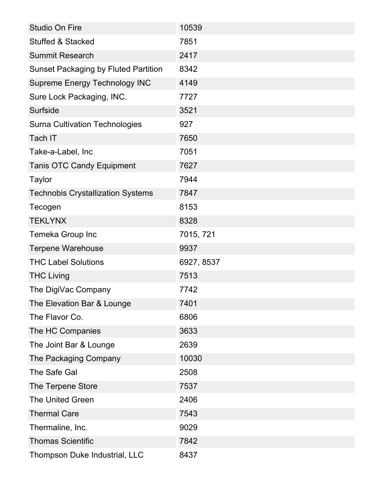| <b>Studio On Fire</b>                       | 10539      |
|---------------------------------------------|------------|
| <b>Stuffed &amp; Stacked</b>                | 7851       |
| <b>Summit Research</b>                      | 2417       |
| <b>Sunset Packaging by Fluted Partition</b> | 8342       |
| <b>Supreme Energy Technology INC</b>        | 4149       |
| Sure Lock Packaging, INC.                   | 7727       |
| <b>Surfside</b>                             | 3521       |
| <b>Surna Cultivation Technologies</b>       | 927        |
| Tach IT                                     | 7650       |
| Take-a-Label, Inc                           | 7051       |
| <b>Tanis OTC Candy Equipment</b>            | 7627       |
| <b>Taylor</b>                               | 7944       |
| <b>Technobis Crystallization Systems</b>    | 7847       |
| Tecogen                                     | 8153       |
| <b>TEKLYNX</b>                              | 8328       |
| Temeka Group Inc                            | 7015, 721  |
| <b>Terpene Warehouse</b>                    | 9937       |
| <b>THC Label Solutions</b>                  | 6927, 8537 |
| <b>THC Living</b>                           | 7513       |
| The DigiVac Company                         | 7742       |
| The Elevation Bar & Lounge                  | 7401       |
| The Flavor Co.                              | 6806       |
| The HC Companies                            | 3633       |
| The Joint Bar & Lounge                      | 2639       |
| The Packaging Company                       | 10030      |
| The Safe Gal                                | 2508       |
| The Terpene Store                           | 7537       |
| <b>The United Green</b>                     | 2406       |
| <b>Thermal Care</b>                         | 7543       |
| Thermaline, Inc.                            | 9029       |
| <b>Thomas Scientific</b>                    | 7842       |
| Thompson Duke Industrial, LLC               | 8437       |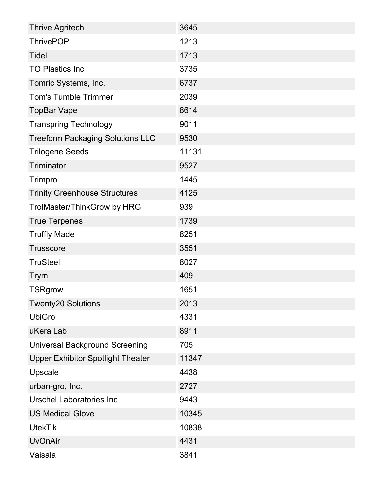| <b>Thrive Agritech</b>                   | 3645  |
|------------------------------------------|-------|
| <b>ThrivePOP</b>                         | 1213  |
| Tidel                                    | 1713  |
| <b>TO Plastics Inc</b>                   | 3735  |
| Tomric Systems, Inc.                     | 6737  |
| <b>Tom's Tumble Trimmer</b>              | 2039  |
| <b>TopBar Vape</b>                       | 8614  |
| <b>Transpring Technology</b>             | 9011  |
| <b>Treeform Packaging Solutions LLC</b>  | 9530  |
| <b>Trilogene Seeds</b>                   | 11131 |
| Triminator                               | 9527  |
| Trimpro                                  | 1445  |
| <b>Trinity Greenhouse Structures</b>     | 4125  |
| TrolMaster/ThinkGrow by HRG              | 939   |
| <b>True Terpenes</b>                     | 1739  |
| <b>Truffly Made</b>                      | 8251  |
| <b>Trusscore</b>                         | 3551  |
| <b>TruSteel</b>                          | 8027  |
| <b>Trym</b>                              | 409   |
| <b>TSRgrow</b>                           | 1651  |
| <b>Twenty20 Solutions</b>                | 2013  |
| <b>UbiGro</b>                            | 4331  |
| uKera Lab                                | 8911  |
| <b>Universal Background Screening</b>    | 705   |
| <b>Upper Exhibitor Spotlight Theater</b> | 11347 |
| Upscale                                  | 4438  |
| urban-gro, Inc.                          | 2727  |
| Urschel Laboratories Inc                 | 9443  |
| <b>US Medical Glove</b>                  | 10345 |
| <b>UtekTik</b>                           | 10838 |
| <b>UvOnAir</b>                           | 4431  |
| Vaisala                                  | 3841  |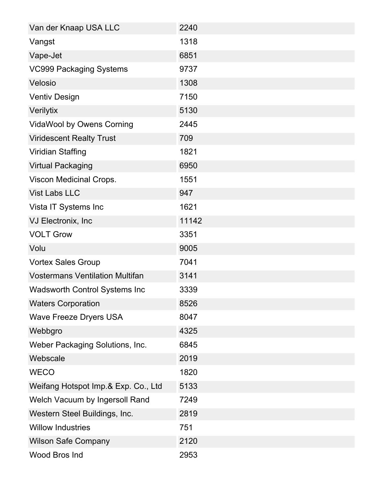| Van der Knaap USA LLC                  | 2240  |
|----------------------------------------|-------|
| Vangst                                 | 1318  |
| Vape-Jet                               | 6851  |
| <b>VC999 Packaging Systems</b>         | 9737  |
| Velosio                                | 1308  |
| <b>Ventiv Design</b>                   | 7150  |
| Verilytix                              | 5130  |
| <b>VidaWool by Owens Corning</b>       | 2445  |
| <b>Viridescent Realty Trust</b>        | 709   |
| Viridian Staffing                      | 1821  |
| <b>Virtual Packaging</b>               | 6950  |
| Viscon Medicinal Crops.                | 1551  |
| <b>Vist Labs LLC</b>                   | 947   |
| Vista IT Systems Inc                   | 1621  |
| VJ Electronix, Inc                     | 11142 |
| <b>VOLT Grow</b>                       | 3351  |
| Volu                                   | 9005  |
| <b>Vortex Sales Group</b>              | 7041  |
| <b>Vostermans Ventilation Multifan</b> | 3141  |
| <b>Wadsworth Control Systems Inc.</b>  | 3339  |
| <b>Waters Corporation</b>              | 8526  |
| <b>Wave Freeze Dryers USA</b>          | 8047  |
| Webbgro                                | 4325  |
| Weber Packaging Solutions, Inc.        | 6845  |
| Webscale                               | 2019  |
| <b>WECO</b>                            | 1820  |
| Weifang Hotspot Imp.& Exp. Co., Ltd    | 5133  |
| Welch Vacuum by Ingersoll Rand         | 7249  |
| Western Steel Buildings, Inc.          | 2819  |
| <b>Willow Industries</b>               | 751   |
| <b>Wilson Safe Company</b>             | 2120  |
| Wood Bros Ind                          | 2953  |